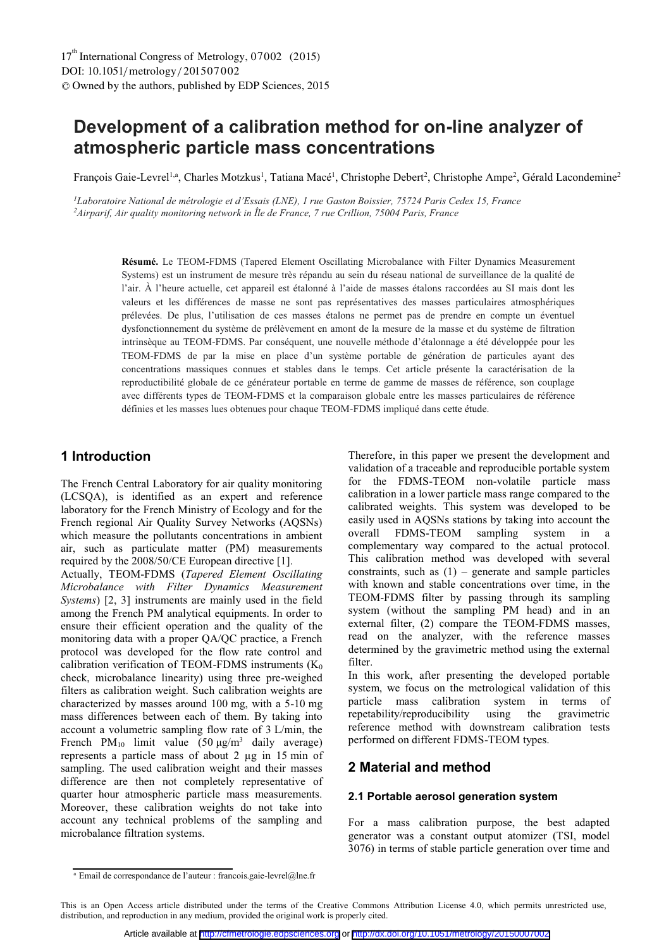# **Development of a calibration method for on-line analyzer of atmospheric particle mass concentrations**

François Gaie-Levrel<sup>1,a</sup>, Charles Motzkus<sup>1</sup>, Tatiana Macé<sup>1</sup>, Christophe Debert<sup>2</sup>, Christophe Ampe<sup>2</sup>, Gérald Lacondemine<sup>2</sup>

*1Laboratoire National de métrologie et d'Essais (LNE), 1 rue Gaston Boissier, 75724 Paris Cedex 15, France 2Airparif, Air quality monitoring network in Île de France, 7 rue Crillion, 75004 Paris, France*

> **Résumé.** Le TEOM-FDMS (Tapered Element Oscillating Microbalance with Filter Dynamics Measurement Systems) est un instrument de mesure très répandu au sein du réseau national de surveillance de la qualité de l'air. À l'heure actuelle, cet appareil est étalonné à l'aide de masses étalons raccordées au SI mais dont les valeurs et les différences de masse ne sont pas représentatives des masses particulaires atmosphériques prélevées. De plus, l'utilisation de ces masses étalons ne permet pas de prendre en compte un éventuel dysfonctionnement du système de prélèvement en amont de la mesure de la masse et du système de filtration intrinsèque au TEOM-FDMS. Par conséquent, une nouvelle méthode d'étalonnage a été développée pour les TEOM-FDMS de par la mise en place d'un système portable de génération de particules ayant des concentrations massiques connues et stables dans le temps. Cet article présente la caractérisation de la reproductibilité globale de ce générateur portable en terme de gamme de masses de référence, son couplage avec différents types de TEOM-FDMS et la comparaison globale entre les masses particulaires de référence définies et les masses lues obtenues pour chaque TEOM-FDMS impliqué dans cette étude.

### **1 Introduction**

The French Central Laboratory for air quality monitoring (LCSQA), is identified as an expert and reference laboratory for the French Ministry of Ecology and for the French regional Air Quality Survey Networks (AQSNs) which measure the pollutants concentrations in ambient air, such as particulate matter (PM) measurements required by the 2008/50/CE European directive [1].

Actually, TEOM-FDMS (*Tapered Element Oscillating Microbalance with Filter Dynamics Measurement Systems*) [2, 3] instruments are mainly used in the field among the French PM analytical equipments. In order to ensure their efficient operation and the quality of the monitoring data with a proper QA/QC practice, a French protocol was developed for the flow rate control and calibration verification of TEOM-FDMS instruments  $(K_0)$ check, microbalance linearity) using three pre-weighed filters as calibration weight. Such calibration weights are characterized by masses around 100 mg, with a 5-10 mg mass differences between each of them. By taking into account a volumetric sampling flow rate of 3 L/min, the French PM<sub>10</sub> limit value  $(50 \text{ µg/m}^3$  daily average) represents a particle mass of about 2 µg in 15 min of sampling. The used calibration weight and their masses difference are then not completely representative of quarter hour atmospheric particle mass measurements. Moreover, these calibration weights do not take into account any technical problems of the sampling and microbalance filtration systems.

Therefore, in this paper we present the development and validation of a traceable and reproducible portable system for the FDMS-TEOM non-volatile particle mass calibration in a lower particle mass range compared to the calibrated weights. This system was developed to be easily used in AQSNs stations by taking into account the overall FDMS-TEOM sampling system in a complementary way compared to the actual protocol. This calibration method was developed with several constraints, such as  $(1)$  – generate and sample particles with known and stable concentrations over time, in the TEOM-FDMS filter by passing through its sampling system (without the sampling PM head) and in an external filter, (2) compare the TEOM-FDMS masses, read on the analyzer, with the reference masses determined by the gravimetric method using the external filter.

In this work, after presenting the developed portable system, we focus on the metrological validation of this particle mass calibration system in terms of repetability/reproducibility using the gravimetric reference method with downstream calibration tests performed on different FDMS-TEOM types.

# **2 Material and method**

#### **2.1 Portable aerosol generation system**

For a mass calibration purpose, the best adapted generator was a constant output atomizer (TSI, model 3076) in terms of stable particle generation over time and

<sup>&</sup>lt;sup>a</sup> Email de correspondance de l'auteur : francois.gaie-levrel@lne.fr

This is an Open Access article distributed under the terms of the Creative Commons Attribution License 4.0, which permits unrestricted use, distribution, and reproduction in any medium, provided the original work is properly cited.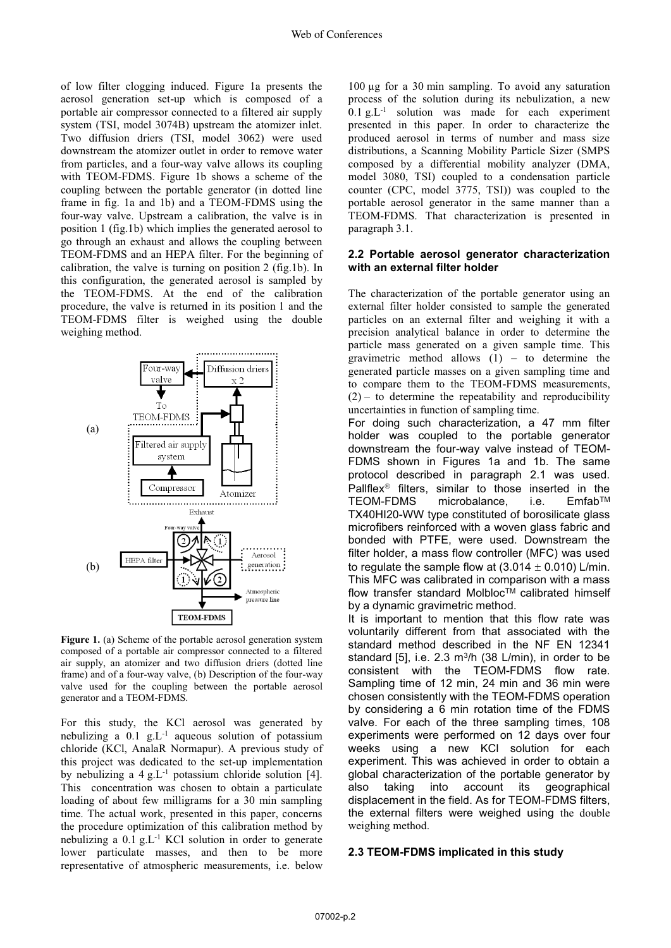of low filter clogging induced. Figure 1a presents the aerosol generation set-up which is composed of a portable air compressor connected to a filtered air supply system (TSI, model 3074B) upstream the atomizer inlet. Two diffusion driers (TSI, model 3062) were used downstream the atomizer outlet in order to remove water from particles, and a four-way valve allows its coupling with TEOM-FDMS. Figure 1b shows a scheme of the coupling between the portable generator (in dotted line frame in fig. 1a and 1b) and a TEOM-FDMS using the four-way valve. Upstream a calibration, the valve is in position 1 (fig.1b) which implies the generated aerosol to go through an exhaust and allows the coupling between TEOM-FDMS and an HEPA filter. For the beginning of calibration, the valve is turning on position 2 (fig.1b). In this configuration, the generated aerosol is sampled by the TEOM-FDMS. At the end of the calibration procedure, the valve is returned in its position 1 and the TEOM-FDMS filter is weighed using the double weighing method.



**Figure 1.** (a) Scheme of the portable aerosol generation system composed of a portable air compressor connected to a filtered air supply, an atomizer and two diffusion driers (dotted line frame) and of a four-way valve, (b) Description of the four-way valve used for the coupling between the portable aerosol generator and a TEOM-FDMS.

For this study, the KCl aerosol was generated by nebulizing a  $0.1$  g.L<sup>-1</sup> aqueous solution of potassium chloride (KCl, AnalaR Normapur). A previous study of this project was dedicated to the set-up implementation by nebulizing a  $4 \text{ g.L}^{-1}$  potassium chloride solution [4]. This concentration was chosen to obtain a particulate loading of about few milligrams for a 30 min sampling time. The actual work, presented in this paper, concerns the procedure optimization of this calibration method by nebulizing a 0.1 g.L-1 KCl solution in order to generate lower particulate masses, and then to be more representative of atmospheric measurements, i.e. below

100 µg for a 30 min sampling. To avoid any saturation process of the solution during its nebulization, a new  $0.1$  g.L<sup>-1</sup> solution was made for each experiment presented in this paper. In order to characterize the produced aerosol in terms of number and mass size distributions, a Scanning Mobility Particle Sizer (SMPS composed by a differential mobility analyzer (DMA, model 3080, TSI) coupled to a condensation particle counter (CPC, model 3775, TSI)) was coupled to the portable aerosol generator in the same manner than a TEOM-FDMS. That characterization is presented in paragraph 3.1.

#### **2.2 Portable aerosol generator characterization with an external filter holder**

The characterization of the portable generator using an external filter holder consisted to sample the generated particles on an external filter and weighing it with a precision analytical balance in order to determine the particle mass generated on a given sample time. This gravimetric method allows  $(1)$  – to determine the generated particle masses on a given sampling time and to compare them to the TEOM-FDMS measurements,  $(2)$  – to determine the repeatability and reproducibility uncertainties in function of sampling time.

For doing such characterization, a 47 mm filter holder was coupled to the portable generator downstream the four-way valve instead of TEOM-FDMS shown in Figures 1a and 1b. The same protocol described in paragraph 2.1 was used. Pallflex<sup>®</sup> filters, similar to those inserted in the TEOM-FDMS microbalance, i.e. EmfabTM TX40HI20-WW type constituted of borosilicate glass microfibers reinforced with a woven glass fabric and bonded with PTFE, were used. Downstream the filter holder, a mass flow controller (MFC) was used to regulate the sample flow at  $(3.014 \pm 0.010)$  L/min. This MFC was calibrated in comparison with a mass flow transfer standard Molbloc<sup>TM</sup> calibrated himself by a dynamic gravimetric method.

It is important to mention that this flow rate was voluntarily different from that associated with the standard method described in the NF EN 12341 standard [5], i.e.  $2.3 \text{ m}^3/\text{h}$  (38 L/min), in order to be consistent with the TEOM-FDMS flow rate. Sampling time of 12 min, 24 min and 36 min were chosen consistently with the TEOM-FDMS operation by considering a 6 min rotation time of the FDMS valve. For each of the three sampling times, 108 experiments were performed on 12 days over four weeks using a new KCl solution for each experiment. This was achieved in order to obtain a global characterization of the portable generator by also taking into account its geographical displacement in the field. As for TEOM-FDMS filters, the external filters were weighed using the double weighing method.

#### **2.3 TEOM-FDMS implicated in this study**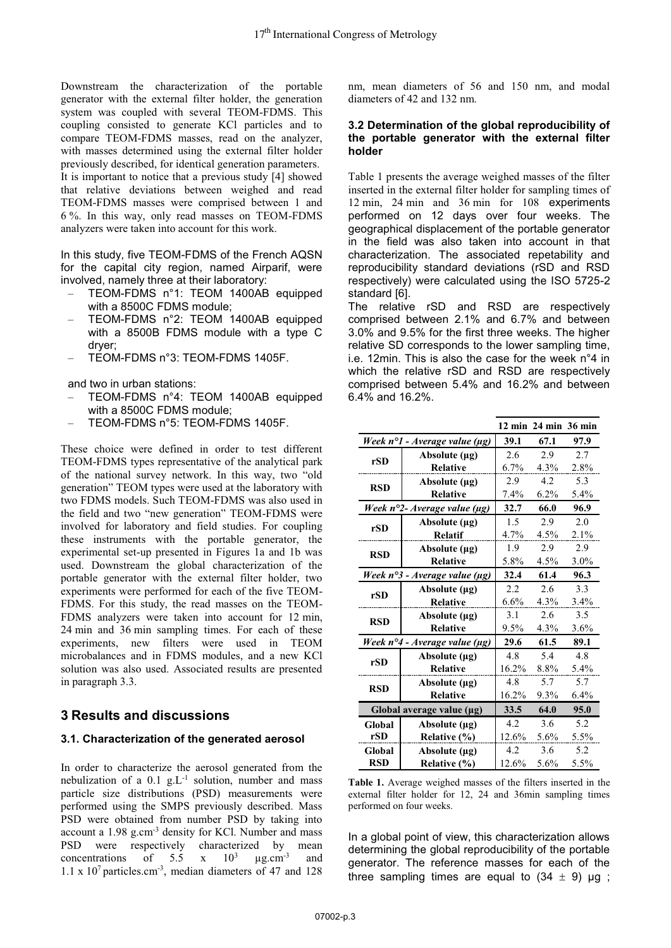Downstream the characterization of the portable generator with the external filter holder, the generation system was coupled with several TEOM-FDMS. This coupling consisted to generate KCl particles and to compare TEOM-FDMS masses, read on the analyzer, with masses determined using the external filter holder previously described, for identical generation parameters. It is important to notice that a previous study [4] showed that relative deviations between weighed and read TEOM-FDMS masses were comprised between 1 and 6 %. In this way, only read masses on TEOM-FDMS analyzers were taken into account for this work.

In this study, five TEOM-FDMS of the French AQSN for the capital city region, named Airparif, were involved, namely three at their laboratory:

- TEOM-FDMS n°1: TEOM 1400AB equipped with a 8500C FDMS module;
- TEOM-FDMS n°2: TEOM 1400AB equipped with a 8500B FDMS module with a type C dryer;
- TEOM-FDMS n°3: TEOM-FDMS 1405F.

and two in urban stations:

- TEOM-FDMS n°4: TEOM 1400AB equipped with a 8500C FDMS module;
- TEOM-FDMS n°5: TEOM-FDMS 1405F.

These choice were defined in order to test different TEOM-FDMS types representative of the analytical park of the national survey network. In this way, two "old generation" TEOM types were used at the laboratory with two FDMS models. Such TEOM-FDMS was also used in the field and two "new generation" TEOM-FDMS were involved for laboratory and field studies. For coupling these instruments with the portable generator, the experimental set-up presented in Figures 1a and 1b was used. Downstream the global characterization of the portable generator with the external filter holder, two experiments were performed for each of the five TEOM-FDMS. For this study, the read masses on the TEOM-FDMS analyzers were taken into account for 12 min, 24 min and 36 min sampling times. For each of these experiments, new filters were used in TEOM microbalances and in FDMS modules, and a new KCl solution was also used. Associated results are presented in paragraph 3.3.

## **3 Results and discussions**

### **3.1. Characterization of the generated aerosol**

In order to characterize the aerosol generated from the nebulization of a  $0.1$  g.L<sup>-1</sup> solution, number and mass particle size distributions (PSD) measurements were performed using the SMPS previously described. Mass PSD were obtained from number PSD by taking into account a 1.98 g.cm-3 density for KCl. Number and mass PSD were respectively characterized by mean concentrations of  $5.5 \times 10^3$  $\mu$ g.cm<sup>-3</sup> and 1.1 x  $10^7$  particles.cm<sup>-3</sup>, median diameters of 47 and 128

nm, mean diameters of 56 and 150 nm, and modal diameters of 42 and 132 nm.

#### **3.2 Determination of the global reproducibility of the portable generator with the external filter holder**

Table 1 presents the average weighed masses of the filter inserted in the external filter holder for sampling times of 12 min, 24 min and 36 min for 108 experiments performed on 12 days over four weeks. The geographical displacement of the portable generator in the field was also taken into account in that characterization. The associated repetability and reproducibility standard deviations (rSD and RSD respectively) were calculated using the ISO 5725-2 standard [6].

The relative rSD and RSD are respectively comprised between 2.1% and 6.7% and between 3.0% and 9.5% for the first three weeks. The higher relative SD corresponds to the lower sampling time, i.e. 12min. This is also the case for the week n°4 in which the relative rSD and RSD are respectively comprised between 5.4% and 16.2% and between 6.4% and 16.2%.

|                                              |                    |          | 12 min 24 min 36 min |         |
|----------------------------------------------|--------------------|----------|----------------------|---------|
| Week n°1 - Average value (µg)                |                    | 39.1     | 67.1                 | 97.9    |
| rSD                                          | Absolute $(\mu g)$ | 2.6      | 2.9                  | 2.7     |
|                                              | <b>Relative</b>    | 6.7%     | $4.3\%$              | 2.8%    |
| <b>RSD</b>                                   | Absolute $(\mu g)$ | 2.9      | 4.2                  | 5.3     |
|                                              | <b>Relative</b>    | 7.4%     | $6.2\%$              | 5.4%    |
| Week n°2- Average value (µg)                 |                    | 32.7     | 66.0                 | 96.9    |
| rSD                                          | Absolute $(\mu g)$ | 1.5      | 2.9                  | 2.0     |
|                                              | <b>Relatif</b>     | $4.7\%$  | 4.5%                 | $2.1\%$ |
| <b>RSD</b>                                   | Absolute $(\mu g)$ | 1.9      | 2.9                  | 2.9     |
|                                              | Relative           | 5.8%     | 4.5%                 | $3.0\%$ |
| Week n°3 - Average value (µg)                |                    | 32.4     | 61.4                 | 96.3    |
| rSD                                          | Absolute $(\mu g)$ | 2.2      | 2.6                  | 3.3     |
|                                              | <b>Relative</b>    | $6.6\%$  | $4.3\%$              | 3.4%    |
| <b>RSD</b>                                   | Absolute $(\mu g)$ | 3.1      | 2.6                  | 3.5     |
|                                              | <b>Relative</b>    | $9.5\%$  | 4.3%                 | $3.6\%$ |
| Week $n^{\circ}4$ - Average value ( $\mu$ g) |                    | 29.6     | 61.5                 | 89.1    |
| rSD                                          | Absolute $(\mu g)$ | 4.8      | 5.4                  | 4.8     |
|                                              | <b>Relative</b>    | $16.2\%$ | $8.8\%$              | 5.4%    |
| <b>RSD</b>                                   | Absolute $(\mu g)$ | 4.8      | 5.7                  | 5.7     |
|                                              | Relative           | $16.2\%$ | $9.3\%$              | $6.4\%$ |
| Global average value (µg)                    |                    | 33.5     | 64.0                 | 95.0    |
| Global<br>rSD                                | Absolute $(\mu g)$ | 4.2      | 3.6                  | 5.2     |
|                                              | Relative (%)       | 12.6%    | $5.6\%$              | 5.5%    |
| Global                                       | Absolute $(\mu g)$ | 4.2      | 3.6                  | 5.2     |
| <b>RSD</b>                                   | Relative (%)       | 12.6%    | $5.6\%$              | 5.5%    |

**Table 1.** Average weighed masses of the filters inserted in the external filter holder for 12, 24 and 36min sampling times performed on four weeks.

In a global point of view, this characterization allows determining the global reproducibility of the portable generator. The reference masses for each of the three sampling times are equal to  $(34 \pm 9)$  µg;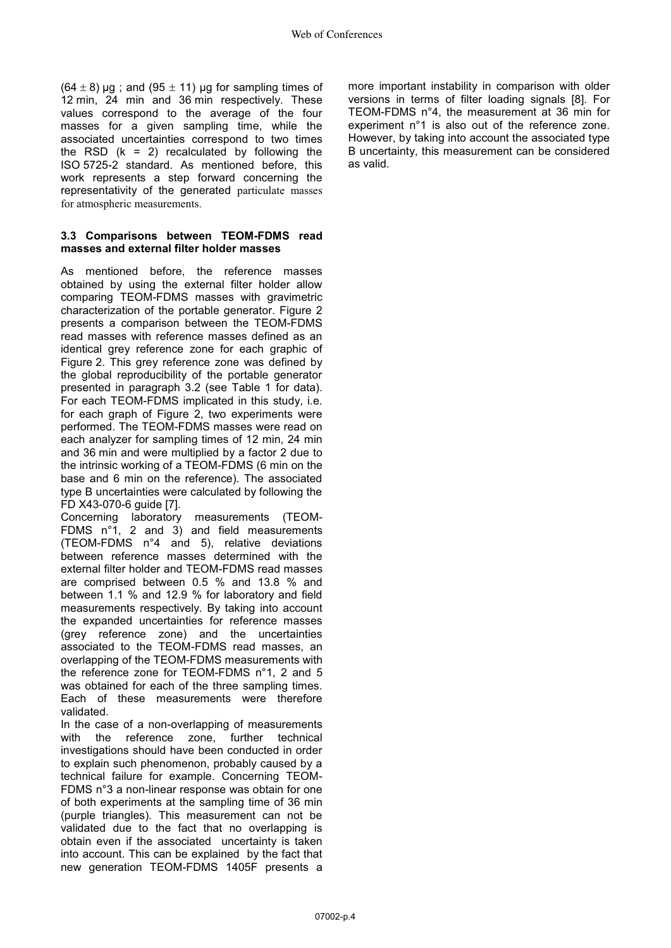$(64 \pm 8)$  µg; and  $(95 \pm 11)$  µg for sampling times of 12 min, 24 min and 36 min respectively. These values correspond to the average of the four masses for a given sampling time, while the associated uncertainties correspond to two times the RSD  $(k = 2)$  recalculated by following the ISO 5725-2 standard. As mentioned before, this work represents a step forward concerning the representativity of the generated particulate masses for atmospheric measurements.

### **3.3 Comparisons between TEOM-FDMS read masses and external filter holder masses**

As mentioned before, the reference masses obtained by using the external filter holder allow comparing TEOM-FDMS masses with gravimetric characterization of the portable generator. Figure 2 presents a comparison between the TEOM-FDMS read masses with reference masses defined as an identical grey reference zone for each graphic of Figure 2. This grey reference zone was defined by the global reproducibility of the portable generator presented in paragraph 3.2 (see Table 1 for data). For each TEOM-FDMS implicated in this study, i.e. for each graph of Figure 2, two experiments were performed. The TEOM-FDMS masses were read on each analyzer for sampling times of 12 min, 24 min and 36 min and were multiplied by a factor 2 due to the intrinsic working of a TEOM-FDMS (6 min on the base and 6 min on the reference). The associated type B uncertainties were calculated by following the FD X43-070-6 guide [7].

Concerning laboratory measurements (TEOM-FDMS n°1, 2 and 3) and field measurements (TEOM-FDMS n°4 and 5), relative deviations between reference masses determined with the external filter holder and TEOM-FDMS read masses are comprised between 0.5 % and 13.8 % and between 1.1 % and 12.9 % for laboratory and field measurements respectively. By taking into account the expanded uncertainties for reference masses (grey reference zone) and the uncertainties associated to the TEOM-FDMS read masses, an overlapping of the TEOM-FDMS measurements with the reference zone for TEOM-FDMS n°1, 2 and 5 was obtained for each of the three sampling times. Each of these measurements were therefore validated.

In the case of a non-overlapping of measurements<br>with the reference zone. further technical with the reference zone, investigations should have been conducted in order to explain such phenomenon, probably caused by a technical failure for example. Concerning TEOM-FDMS n°3 a non-linear response was obtain for one of both experiments at the sampling time of 36 min (purple triangles). This measurement can not be validated due to the fact that no overlapping is obtain even if the associated uncertainty is taken into account. This can be explained by the fact that new generation TEOM-FDMS 1405F presents a

more important instability in comparison with older versions in terms of filter loading signals [8]. For TEOM-FDMS n°4, the measurement at 36 min for experiment n°1 is also out of the reference zone. However, by taking into account the associated type B uncertainty, this measurement can be considered as valid.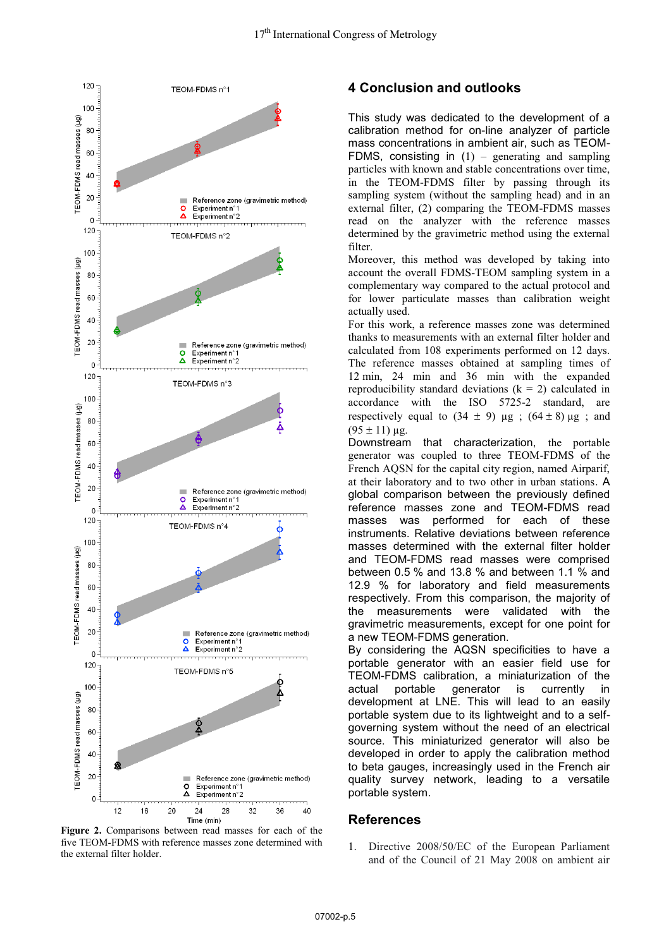

**Figure 2.** Comparisons between read masses for each of the five TEOM-FDMS with reference masses zone determined with the external filter holder.

# **4 Conclusion and outlooks**

This study was dedicated to the development of a calibration method for on-line analyzer of particle mass concentrations in ambient air, such as TEOM-FDMS, consisting in  $(1)$  – generating and sampling particles with known and stable concentrations over time, in the TEOM-FDMS filter by passing through its sampling system (without the sampling head) and in an external filter, (2) comparing the TEOM-FDMS masses read on the analyzer with the reference masses determined by the gravimetric method using the external filter.

Moreover, this method was developed by taking into account the overall FDMS-TEOM sampling system in a complementary way compared to the actual protocol and for lower particulate masses than calibration weight actually used.

For this work, a reference masses zone was determined thanks to measurements with an external filter holder and calculated from 108 experiments performed on 12 days. The reference masses obtained at sampling times of 12 min, 24 min and 36 min with the expanded reproducibility standard deviations  $(k = 2)$  calculated in accordance with the ISO 5725-2 standard, are respectively equal to  $(34 \pm 9)$  μg;  $(64 \pm 8)$  μg; and  $(95 \pm 11)$  μg.

Downstream that characterization, the portable generator was coupled to three TEOM-FDMS of the French AQSN for the capital city region, named Airparif, at their laboratory and to two other in urban stations. A global comparison between the previously defined reference masses zone and TEOM-FDMS read masses was performed for each of these instruments. Relative deviations between reference masses determined with the external filter holder and TEOM-FDMS read masses were comprised between 0.5 % and 13.8 % and between 1.1 % and 12.9 % for laboratory and field measurements respectively. From this comparison, the majority of the measurements were validated with the gravimetric measurements, except for one point for a new TEOM-FDMS generation.

By considering the AQSN specificities to have a portable generator with an easier field use for TEOM-FDMS calibration, a miniaturization of the actual portable generator is currently in development at LNE. This will lead to an easily portable system due to its lightweight and to a selfgoverning system without the need of an electrical source. This miniaturized generator will also be developed in order to apply the calibration method to beta gauges, increasingly used in the French air quality survey network, leading to a versatile portable system.

### **References**

1. Directive 2008/50/EC of the European Parliament and of the Council of 21 May 2008 on ambient air